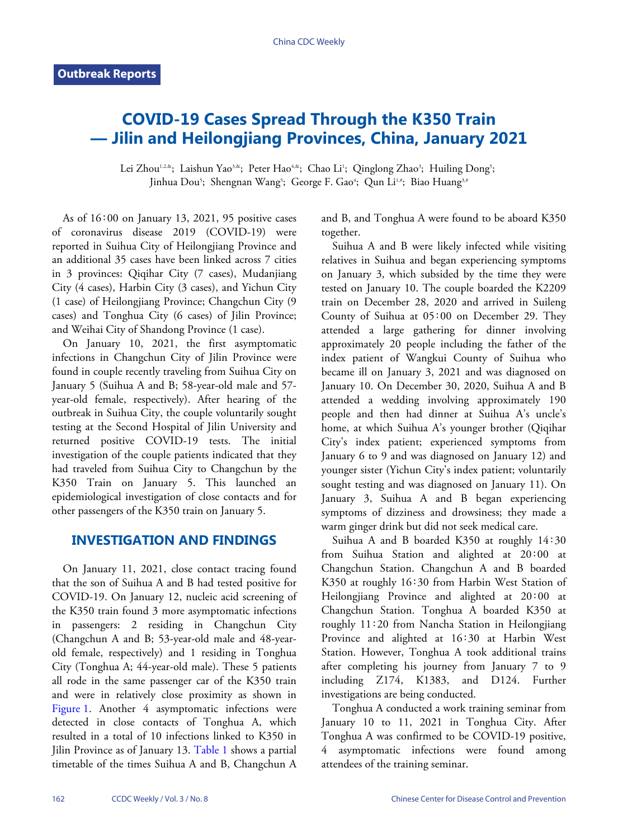# **COVID-19 Cases Spread Through the K350 Train — Jilin and Heilongjiang Provinces, China, January 2021**

Lei Zhou<sup>1,2,&</sup>; Laishun Yao<sup>3,&</sup>; Peter Hao<sup>4,&</sup>; Chao Li<sup>1</sup>; Qinglong Zhao<sup>3</sup>; Huiling Dong<sup>5</sup>; Jinhua Dou<sup>5</sup>; Shengnan Wang<sup>5</sup>; George F. Gao<sup>4</sup>; Qun Li½#; Biao Huang¾

As of 16∶00 on January 13, 2021, 95 positive cases of coronavirus disease 2019 (COVID-19) were reported in Suihua City of Heilongjiang Province and an additional 35 cases have been linked across 7 cities in 3 provinces: Qiqihar City (7 cases), Mudanjiang City (4 cases), Harbin City (3 cases), and Yichun City (1 case) of Heilongjiang Province; Changchun City (9 cases) and Tonghua City (6 cases) of Jilin Province; and Weihai City of Shandong Province (1 case).

On January 10, 2021, the first asymptomatic infections in Changchun City of Jilin Province were found in couple recently traveling from Suihua City on January 5 (Suihua A and B; 58-year-old male and 57 year-old female, respectively). After hearing of the outbreak in Suihua City, the couple voluntarily sought testing at the Second Hospital of Jilin University and returned positive COVID-19 tests. The initial investigation of the couple patients indicated that they had traveled from Suihua City to Changchun by the K350 Train on January 5. This launched an epidemiological investigation of close contacts and for other passengers of the K350 train on January 5.

# **INVESTIGATION AND FINDINGS**

On January 11, 2021, close contact tracing found that the son of Suihua A and B had tested positive for COVID-19. On January 12, nucleic acid screening of the K350 train found 3 more asymptomatic infections in passengers: 2 residing in Changchun City (Changchun A and B; 53-year-old male and 48-yearold female, respectively) and 1 residing in Tonghua City (Tonghua A; 44-year-old male). These 5 patients all rode in the same passenger car of the K350 train [and wer](#page-1-0)e in relatively close proximity as shown in [Figure 1.](#page-1-0) Another 4 asymptomatic infections were detected in close contacts of Tonghua A, which resulted in a total of 10 infecti[ons link](#page-1-1)ed to K350 in Jilin Province as of January 13. [Table 1](#page-1-1) shows a partial timetable of the times Suihua A and B, Changchun A

and B, and Tonghua A were found to be aboard K350 together.

Suihua A and B were likely infected while visiting relatives in Suihua and began experiencing symptoms on January 3, which subsided by the time they were tested on January 10. The couple boarded the K2209 train on December 28, 2020 and arrived in Suileng County of Suihua at 05∶00 on December 29. They attended a large gathering for dinner involving approximately 20 people including the father of the index patient of Wangkui County of Suihua who became ill on January 3, 2021 and was diagnosed on January 10. On December 30, 2020, Suihua A and B attended a wedding involving approximately 190 people and then had dinner at Suihua A's uncle's home, at which Suihua A's younger brother (Qiqihar City's index patient; experienced symptoms from January 6 to 9 and was diagnosed on January 12) and younger sister (Yichun City's index patient; voluntarily sought testing and was diagnosed on January 11). On January 3, Suihua A and B began experiencing symptoms of dizziness and drowsiness; they made a warm ginger drink but did not seek medical care.

Suihua A and B boarded K350 at roughly 14∶30 from Suihua Station and alighted at 20∶00 at Changchun Station. Changchun A and B boarded K350 at roughly 16∶30 from Harbin West Station of Heilongjiang Province and alighted at 20∶00 at Changchun Station. Tonghua A boarded K350 at roughly 11∶20 from Nancha Station in Heilongjiang Province and alighted at 16∶30 at Harbin West Station. However, Tonghua A took additional trains after completing his journey from January 7 to 9 including Z174, K1383, and D124. Further investigations are being conducted.

Tonghua A conducted a work training seminar from January 10 to 11, 2021 in Tonghua City. After Tonghua A was confirmed to be COVID-19 positive, 4 asymptomatic infections were found among attendees of the training seminar.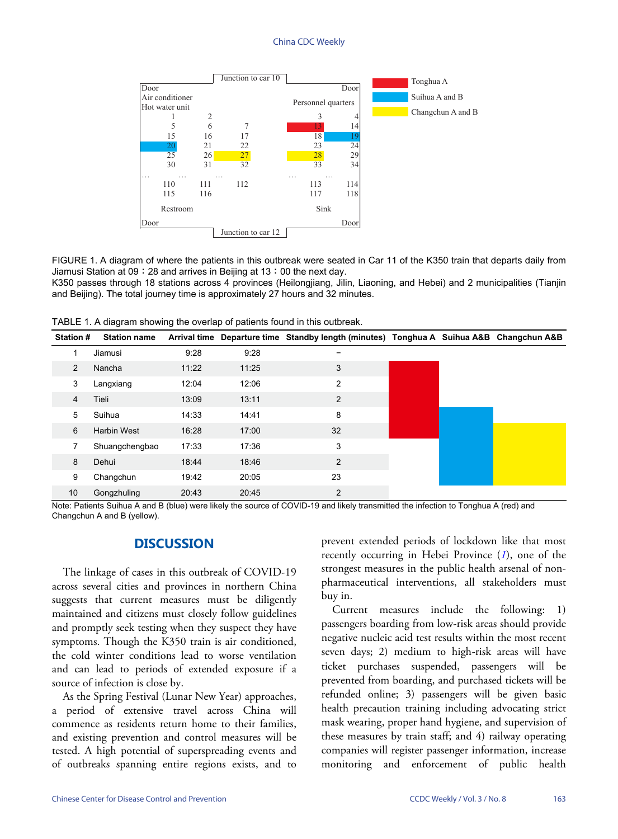### China CDC Weekly

<span id="page-1-0"></span>

FIGURE 1. A diagram of where the patients in this outbreak were seated in Car 11 of the K350 train that departs daily from Jiamusi Station at 09∶28 and arrives in Beijing at 13∶00 the next day.

K350 passes through 18 stations across 4 provinces (Heilongjiang, Jilin, Liaoning, and Hebei) and 2 municipalities (Tianjin and Beijing). The total journey time is approximately 27 hours and 32 minutes.

| <b>Station #</b> | <b>Station name</b> | <b>Arrival time</b> |       | Departure time Standby length (minutes) Tonghua A Suihua A&B Changchun A&B |  |  |
|------------------|---------------------|---------------------|-------|----------------------------------------------------------------------------|--|--|
|                  | Jiamusi             | 9:28                | 9:28  |                                                                            |  |  |
| $\overline{2}$   | Nancha              | 11:22               | 11:25 | 3                                                                          |  |  |
| 3                | Langxiang           | 12:04               | 12:06 | 2                                                                          |  |  |
| 4                | Tieli               | 13:09               | 13:11 | 2                                                                          |  |  |
| 5                | Suihua              | 14:33               | 14:41 | 8                                                                          |  |  |
| 6                | <b>Harbin West</b>  | 16:28               | 17:00 | 32                                                                         |  |  |
|                  | Shuangchengbao      | 17:33               | 17:36 | 3                                                                          |  |  |
| 8                | Dehui               | 18:44               | 18:46 | $\overline{c}$                                                             |  |  |
| 9                | Changchun           | 19:42               | 20:05 | 23                                                                         |  |  |
| 10               | Gongzhuling         | 20:43               | 20:45 | $\overline{2}$                                                             |  |  |

<span id="page-1-1"></span>TABLE 1. A diagram showing the overlap of patients found in this outbreak.

Note: Patients Suihua A and B (blue) were likely the source of COVID-19 and likely transmitted the infection to Tonghua A (red) and Changchun A and B (yellow).

## **DISCUSSION**

The linkage of cases in this outbreak of COVID-19 across several cities and provinces in northern China suggests that current measures must be diligently maintained and citizens must closely follow guidelines and promptly seek testing when they suspect they have symptoms. Though the K350 train is air conditioned, the cold winter conditions lead to worse ventilation and can lead to periods of extended exposure if a source of infection is close by.

As the Spring Festival (Lunar New Year) approaches, a period of extensive travel across China will commence as residents return home to their families, and existing prevention and control measures will be tested. A high potential of superspreading events and of outbreaks spanning entire regions exists, and to

prevent extended periods of lockdown like that most recently occurring in Hebei Province (*[1](#page-2-0)*), one of the strongest measures in the public health arsenal of nonpharmaceutical interventions, all stakeholders must buy in.

Current measures include the following: 1) passengers boarding from low-risk areas should provide negative nucleic acid test results within the most recent seven days; 2) medium to high-risk areas will have ticket purchases suspended, passengers will be prevented from boarding, and purchased tickets will be refunded online; 3) passengers will be given basic health precaution training including advocating strict mask wearing, proper hand hygiene, and supervision of these measures by train staff; and 4) railway operating companies will register passenger information, increase monitoring and enforcement of public health